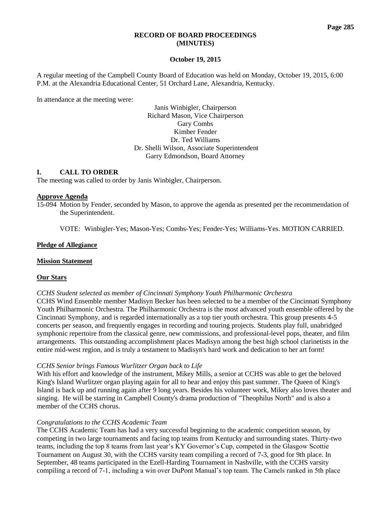### **RECORD OF BOARD PROCEEDINGS (MINUTES)**

### **October 19, 2015**

A regular meeting of the Campbell County Board of Education was held on Monday, October 19, 2015, 6:00 P.M. at the Alexandria Educational Center, 51 Orchard Lane, Alexandria, Kentucky.

In attendance at the meeting were:

Janis Winbigler, Chairperson Richard Mason, Vice Chairperson Gary Combs Kimber Fender Dr. Ted Williams Dr. Shelli Wilson, Associate Superintendent Garry Edmondson, Board Attorney

# **I. CALL TO ORDER**

The meeting was called to order by Janis Winbigler, Chairperson.

## **Approve Agenda**

15-094 Motion by Fender, seconded by Mason, to approve the agenda as presented per the recommendation of the Superintendent.

VOTE: Winbigler-Yes; Mason-Yes; Combs-Yes; Fender-Yes; Williams-Yes. MOTION CARRIED.

## **Pledge of Allegiance**

### **Mission Statement**

### **Our Stars**

*CCHS Student selected as member of Cincinnati Symphony Youth Philharmonic Orchestra* 

CCHS Wind Ensemble member Madisyn Becker has been selected to be a member of the Cincinnati Symphony Youth Philharmonic Orchestra. The Philharmonic Orchestra is the most advanced youth ensemble offered by the Cincinnati Symphony, and is regarded internationally as a top tier youth orchestra. This group presents 4-5 concerts per season, and frequently engages in recording and touring projects. Students play full, unabridged symphonic repertoire from the classical genre, new commissions, and professional-level pops, theater, and film arrangements. This outstanding accomplishment places Madisyn among the best high school clarinetists in the entire mid-west region, and is truly a testament to Madisyn's hard work and dedication to her art form!

### *CCHS Senior brings Famous Wurlitzer Organ back to Life*

With his effort and knowledge of the instrument, Mikey Mills, a senior at CCHS was able to get the beloved King's Island Wurlitzer organ playing again for all to hear and enjoy this past summer. The Queen of King's Island is back up and running again after 9 long years. Besides his volunteer work, Mikey also loves theater and singing. He will be starring in Campbell County's drama production of "Theophilus North" and is also a member of the CCHS chorus.

### *Congratulations to the CCHS Academic Team*

The CCHS Academic Team has had a very successful beginning to the academic competition season, by competing in two large tournaments and facing top teams from Kentucky and surrounding states. Thirty-two teams, including the top 8 teams from last year's KY Governor's Cup, competed in the Glasgow Scottie Tournament on August 30, with the CCHS varsity team compiling a record of 7-3, good for 9th place. In September, 48 teams participated in the Ezell-Harding Tournament in Nashville, with the CCHS varsity compiling a record of 7-1, including a win over DuPont Manual's top team. The Camels ranked in 5th place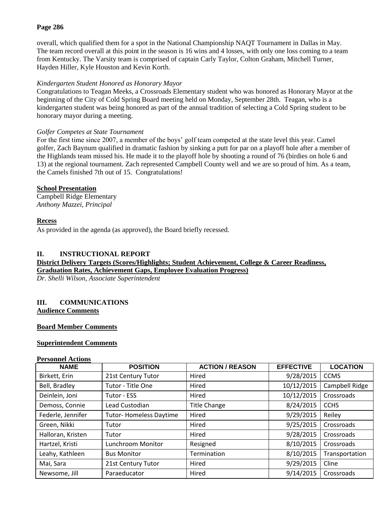# **Page 286**

overall, which qualified them for a spot in the National Championship NAQT Tournament in Dallas in May. The team record overall at this point in the season is 16 wins and 4 losses, with only one loss coming to a team from Kentucky. The Varsity team is comprised of captain Carly Taylor, Colton Graham, Mitchell Turner, Hayden Hiller, Kyle Houston and Kevin Korth.

# *Kindergarten Student Honored as Honorary Mayor*

Congratulations to Teagan Meeks, a Crossroads Elementary student who was honored as Honorary Mayor at the beginning of the City of Cold Spring Board meeting held on Monday, September 28th. Teagan, who is a kindergarten student was being honored as part of the annual tradition of selecting a Cold Spring student to be honorary mayor during a meeting.

# *Golfer Competes at State Tournament*

For the first time since 2007, a member of the boys' golf team competed at the state level this year. Camel golfer, Zach Baynum qualified in dramatic fashion by sinking a putt for par on a playoff hole after a member of the Highlands team missed his. He made it to the playoff hole by shooting a round of 76 (birdies on hole 6 and 13) at the regional tournament. Zach represented Campbell County well and we are so proud of him. As a team, the Camels finished 7th out of 15. Congratulations!

# **School Presentation**

Campbell Ridge Elementary *Anthony Mazzei, Principal*

# **Recess**

As provided in the agenda (as approved), the Board briefly recessed.

# **II. INSTRUCTIONAL REPORT**

# **District Delivery Targets (Scores/Highlights; Student Achievement, College & Career Readiness, Graduation Rates, Achievement Gaps, Employee Evaluation Progress)**

*Dr. Shelli Wilson, Associate Superintendent*

# **III. COMMUNICATIONS Audience Comments**

# **Board Member Comments**

# **Superintendent Comments**

### **Personnel Actions**

| <b>NAME</b>       | <b>POSITION</b>               | <b>ACTION / REASON</b> | <b>EFFECTIVE</b> | <b>LOCATION</b> |
|-------------------|-------------------------------|------------------------|------------------|-----------------|
| Birkett, Erin     | 21st Century Tutor            | Hired                  | 9/28/2015        | <b>CCMS</b>     |
| Bell, Bradley     | Tutor - Title One             | Hired                  | 10/12/2015       | Campbell Ridge  |
| Deinlein, Joni    | Tutor - ESS                   | 10/12/2015<br>Hired    |                  | Crossroads      |
| Demoss, Connie    | Lead Custodian                | <b>Title Change</b>    | 8/24/2015        | <b>CCHS</b>     |
| Federle, Jennifer | <b>Tutor-Homeless Daytime</b> | Hired                  | 9/29/2015        | Reiley          |
| Green, Nikki      | Tutor                         | Hired                  | 9/25/2015        | Crossroads      |
| Halloran, Kristen | Tutor                         | Hired                  | 9/28/2015        | Crossroads      |
| Hartzel, Kristi   | Lunchroom Monitor             | Resigned               | 8/10/2015        | Crossroads      |
| Leahy, Kathleen   | <b>Bus Monitor</b>            | <b>Termination</b>     | 8/10/2015        | Transportation  |
| Mai, Sara         | 21st Century Tutor            | Hired                  | 9/29/2015        | Cline           |
| Newsome, Jill     | Paraeducator                  | Hired                  | 9/14/2015        | Crossroads      |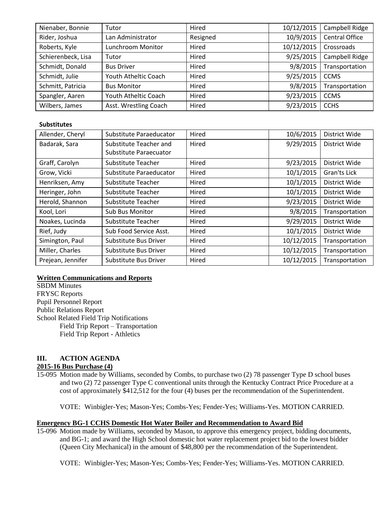| Nienaber, Bonnie   | Tutor                 | Hired    | 10/12/2015 | Campbell Ridge        |
|--------------------|-----------------------|----------|------------|-----------------------|
| Rider, Joshua      | Lan Administrator     | Resigned | 10/9/2015  | <b>Central Office</b> |
| Roberts, Kyle      | Lunchroom Monitor     | Hired    | 10/12/2015 | Crossroads            |
| Schierenbeck, Lisa | Tutor                 | Hired    | 9/25/2015  | Campbell Ridge        |
| Schmidt, Donald    | <b>Bus Driver</b>     | Hired    | 9/8/2015   | Transportation        |
| Schmidt, Julie     | Youth Atheltic Coach  | Hired    | 9/25/2015  | <b>CCMS</b>           |
| Schmitt, Patricia  | <b>Bus Monitor</b>    | Hired    | 9/8/2015   | Transportation        |
| Spangler, Aaren    | Youth Atheltic Coach  | Hired    | 9/23/2015  | <b>CCMS</b>           |
| Wilbers, James     | Asst. Wrestling Coach | Hired    | 9/23/2015  | <b>CCHS</b>           |

## **Substitutes**

| Allender, Cheryl  | Substitute Paraeducator | Hired | 10/6/2015  | District Wide  |
|-------------------|-------------------------|-------|------------|----------------|
| Badarak, Sara     | Substitute Teacher and  | Hired | 9/29/2015  | District Wide  |
|                   | Substitute Paraecuator  |       |            |                |
| Graff, Carolyn    | Substitute Teacher      | Hired | 9/23/2015  |                |
| Grow, Vicki       | Substitute Paraeducator | Hired | 10/1/2015  | Gran'ts Lick   |
| Henriksen, Amy    | Substitute Teacher      | Hired | 10/1/2015  | District Wide  |
| Heringer, John    | Substitute Teacher      | Hired | 10/1/2015  | District Wide  |
| Herold, Shannon   | Substitute Teacher      | Hired | 9/23/2015  | District Wide  |
| Kool, Lori        | <b>Sub Bus Monitor</b>  | Hired | 9/8/2015   | Transportation |
| Noakes, Lucinda   | Substitute Teacher      | Hired | 9/29/2015  | District Wide  |
| Rief, Judy        | Sub Food Service Asst.  | Hired | 10/1/2015  | District Wide  |
| Simington, Paul   | Substitute Bus Driver   | Hired | 10/12/2015 | Transportation |
| Miller, Charles   | Substitute Bus Driver   | Hired | 10/12/2015 | Transportation |
| Prejean, Jennifer | Substitute Bus Driver   | Hired | 10/12/2015 | Transportation |

### **Written Communications and Reports**

**SBDM** Minutes FRYSC Reports Pupil Personnel Report Public Relations Report School Related Field Trip Notifications Field Trip Report – Transportation Field Trip Report - Athletics

# **III. ACTION AGENDA**

# **2015-16 Bus Purchase (4)**

15-095 Motion made by Williams, seconded by Combs, to purchase two (2) 78 passenger Type D school buses and two (2) 72 passenger Type C conventional units through the Kentucky Contract Price Procedure at a cost of approximately \$412,512 for the four (4) buses per the recommendation of the Superintendent.

VOTE: Winbigler-Yes; Mason-Yes; Combs-Yes; Fender-Yes; Williams-Yes. MOTION CARRIED.

# **Emergency BG-1 CCHS Domestic Hot Water Boiler and Recommendation to Award Bid**

15-096 Motion made by Williams, seconded by Mason, to approve this emergency project, bidding documents, and BG-1; and award the High School domestic hot water replacement project bid to the lowest bidder (Queen City Mechanical) in the amount of \$48,800 per the recommendation of the Superintendent.

VOTE: Winbigler-Yes; Mason-Yes; Combs-Yes; Fender-Yes; Williams-Yes. MOTION CARRIED.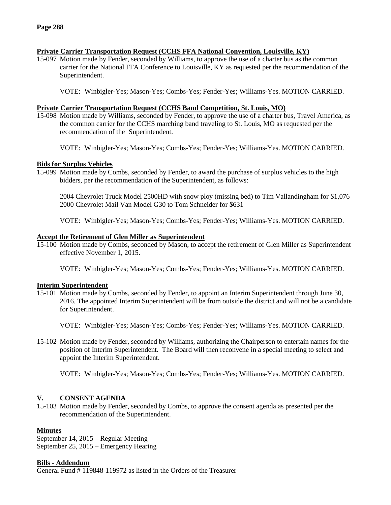## **Private Carrier Transportation Request (CCHS FFA National Convention, Louisville, KY)**

15-097 Motion made by Fender, seconded by Williams, to approve the use of a charter bus as the common carrier for the National FFA Conference to Louisville, KY as requested per the recommendation of the Superintendent.

VOTE: Winbigler-Yes; Mason-Yes; Combs-Yes; Fender-Yes; Williams-Yes. MOTION CARRIED.

### **Private Carrier Transportation Request (CCHS Band Competition, St. Louis, MO)**

15-098 Motion made by Williams, seconded by Fender, to approve the use of a charter bus, Travel America, as the common carrier for the CCHS marching band traveling to St. Louis, MO as requested per the recommendation of the Superintendent.

VOTE: Winbigler-Yes; Mason-Yes; Combs-Yes; Fender-Yes; Williams-Yes. MOTION CARRIED.

## **Bids for Surplus Vehicles**

15-099 Motion made by Combs, seconded by Fender, to award the purchase of surplus vehicles to the high bidders, per the recommendation of the Superintendent, as follows:

2004 Chevrolet Truck Model 2500HD with snow ploy (missing bed) to Tim Vallandingham for \$1,076 2000 Chevrolet Mail Van Model G30 to Tom Schneider for \$631

VOTE: Winbigler-Yes; Mason-Yes; Combs-Yes; Fender-Yes; Williams-Yes. MOTION CARRIED.

## **Accept the Retirement of Glen Miller as Superintendent**

15-100 Motion made by Combs, seconded by Mason, to accept the retirement of Glen Miller as Superintendent effective November 1, 2015.

VOTE: Winbigler-Yes; Mason-Yes; Combs-Yes; Fender-Yes; Williams-Yes. MOTION CARRIED.

### **Interim Superintendent**

15-101 Motion made by Combs, seconded by Fender, to appoint an Interim Superintendent through June 30, 2016. The appointed Interim Superintendent will be from outside the district and will not be a candidate for Superintendent.

VOTE: Winbigler-Yes; Mason-Yes; Combs-Yes; Fender-Yes; Williams-Yes. MOTION CARRIED.

15-102 Motion made by Fender, seconded by Williams, authorizing the Chairperson to entertain names for the position of Interim Superintendent. The Board will then reconvene in a special meeting to select and appoint the Interim Superintendent.

VOTE: Winbigler-Yes; Mason-Yes; Combs-Yes; Fender-Yes; Williams-Yes. MOTION CARRIED.

# **V. CONSENT AGENDA**

15-103 Motion made by Fender, seconded by Combs, to approve the consent agenda as presented per the recommendation of the Superintendent.

# **Minutes**

September 14, 2015 – Regular Meeting September 25, 2015 – Emergency Hearing

### **Bills - Addendum**

General Fund # 119848-119972 as listed in the Orders of the Treasurer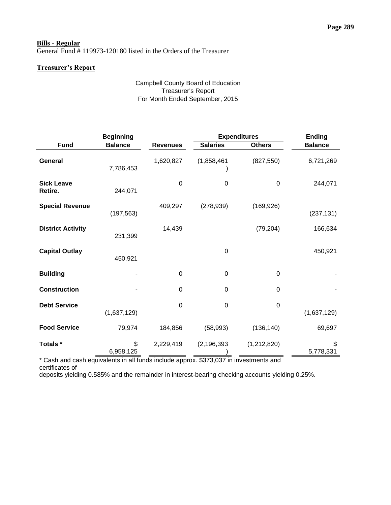# **Bills - Regular**

General Fund # 119973-120180 listed in the Orders of the Treasurer

# **Treasurer's Report**

# Campbell County Board of Education Treasurer's Report For Month Ended September, 2015

|                              | <b>Beginning</b> |                 | <b>Expenditures</b> |               | <b>Ending</b>   |
|------------------------------|------------------|-----------------|---------------------|---------------|-----------------|
| <b>Fund</b>                  | <b>Balance</b>   | <b>Revenues</b> | <b>Salaries</b>     | <b>Others</b> | <b>Balance</b>  |
| General                      | 7,786,453        | 1,620,827       | (1,858,461)         | (827, 550)    | 6,721,269       |
| <b>Sick Leave</b><br>Retire. | 244,071          | $\Omega$        | $\Omega$            | $\Omega$      | 244,071         |
| <b>Special Revenue</b>       | (197, 563)       | 409,297         | (278, 939)          | (169, 926)    | (237, 131)      |
| <b>District Activity</b>     | 231,399          | 14,439          |                     | (79, 204)     | 166,634         |
| <b>Capital Outlay</b>        | 450,921          |                 | 0                   |               | 450,921         |
| <b>Building</b>              |                  | $\Omega$        | $\Omega$            | $\Omega$      |                 |
| <b>Construction</b>          |                  | $\mathbf 0$     | $\mathbf 0$         | $\mathbf 0$   |                 |
| <b>Debt Service</b>          | (1,637,129)      | 0               | $\mathbf 0$         | $\mathbf 0$   | (1,637,129)     |
| <b>Food Service</b>          | 79,974           | 184,856         | (58, 993)           | (136, 140)    | 69,697          |
| Totals *                     | \$<br>6,958,125  | 2,229,419       | (2, 196, 393)       | (1,212,820)   | \$<br>5,778,331 |

\* Cash and cash equivalents in all funds include approx. \$373,037 in investments and certificates of

deposits yielding 0.585% and the remainder in interest-bearing checking accounts yielding 0.25%.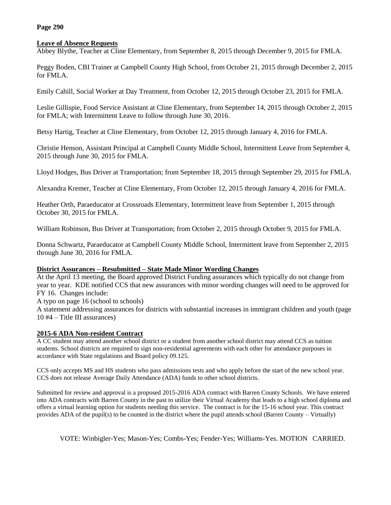# **Page 290**

## **Leave of Absence Requests**

Abbey Blythe, Teacher at Cline Elementary, from September 8, 2015 through December 9, 2015 for FMLA.

Peggy Boden, CBI Trainer at Campbell County High School, from October 21, 2015 through December 2, 2015 for FMLA.

Emily Cahill, Social Worker at Day Treatment, from October 12, 2015 through October 23, 2015 for FMLA.

Leslie Gillispie, Food Service Assistant at Cline Elementary, from September 14, 2015 through October 2, 2015 for FMLA; with Intermittent Leave to follow through June 30, 2016.

Betsy Hartig, Teacher at Cline Elementary, from October 12, 2015 through January 4, 2016 for FMLA.

Christie Henson, Assistant Principal at Campbell County Middle School, Intermittent Leave from September 4, 2015 through June 30, 2015 for FMLA.

Lloyd Hodges, Bus Driver at Transportation; from September 18, 2015 through September 29, 2015 for FMLA.

Alexandra Kremer, Teacher at Cline Elementary, From October 12, 2015 through January 4, 2016 for FMLA.

Heather Orth, Paraeducator at Crossroads Elementary, Intermittent leave from September 1, 2015 through October 30, 2015 for FMLA.

William Robinson, Bus Driver at Transportation; from October 2, 2015 through October 9, 2015 for FMLA.

Donna Schwartz, Paraeducator at Campbell County Middle School, Intermittent leave from September 2, 2015 through June 30, 2016 for FMLA.

### **District Assurances – Resubmitted – State Made Minor Wording Changes**

At the April 13 meeting, the Board approved District Funding assurances which typically do not change from year to year. KDE notified CCS that new assurances with minor wording changes will need to be approved for FY 16. Changes include:

A typo on page 16 (school to schools)

A statement addressing assurances for districts with substantial increases in immigrant children and youth (page 10 #4 – Title III assurances)

# **2015-6 ADA Non-resident Contract**

A CC student may attend another school district or a student from another school district may attend CCS as tuition students. School districts are required to sign non-residential agreements with each other for attendance purposes in accordance with State regulations and Board policy 09.125.

CCS only accepts MS and HS students who pass admissions tests and who apply before the start of the new school year. CCS does not release Average Daily Attendance (ADA) funds to other school districts.

Submitted for review and approval is a proposed 2015-2016 ADA contract with Barren County Schools. We have entered into ADA contracts with Barren County in the past to utilize their Virtual Academy that leads to a high school diploma and offers a virtual learning option for students needing this service. The contract is for the 15-16 school year. This contract provides ADA of the pupil(s) to be counted in the district where the pupil attends school (Barren County – Virtually)

VOTE: Winbigler-Yes; Mason-Yes; Combs-Yes; Fender-Yes; Williams-Yes. MOTION CARRIED.